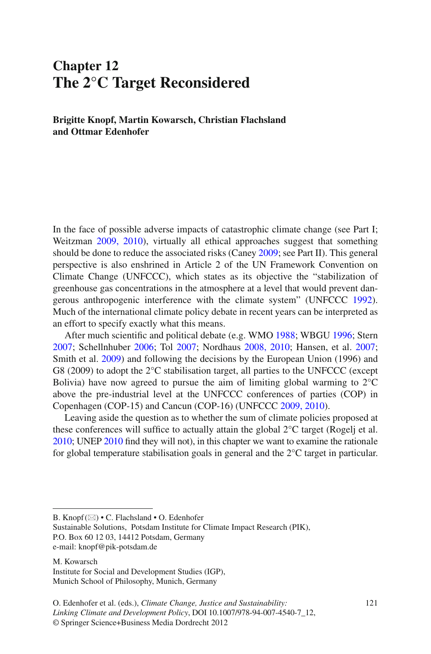# **Chapter 12 The 2°C Target Reconsidered**

**Brigitte Knopf, Martin Kowarsch, Christian Flachsland and Ottmar Edenhofer** 

 In the face of possible adverse impacts of catastrophic climate change (see Part I; Weitzman 2009, 2010), virtually all ethical approaches suggest that something should be done to reduce the associated risks (Caney 2009; see Part II). This general perspective is also enshrined in Article 2 of the UN Framework Convention on Climate Change (UNFCCC), which states as its objective the "stabilization of greenhouse gas concentrations in the atmosphere at a level that would prevent dangerous anthropogenic interference with the climate system" (UNFCCC 1992). Much of the international climate policy debate in recent years can be interpreted as an effort to specify exactly what this means.

After much scientific and political debate (e.g. WMO [1988](#page-16-0); WBGU [1996](#page-16-0); Stern [2007](#page-16-0); Schellnhuber 2006; Tol 2007; Nordhaus 2008, 2010; Hansen, et al. 2007; Smith et al. 2009) and following the decisions by the European Union (1996) and G8 (2009) to adopt the 2°C stabilisation target, all parties to the UNFCCC (except Bolivia) have now agreed to pursue the aim of limiting global warming to  $2^{\circ}C$ above the pre-industrial level at the UNFCCC conferences of parties (COP) in Copenhagen (COP-15) and Cancun (COP-16) (UNFCCC [2009, 2010](#page-16-0)).

 Leaving aside the question as to whether the sum of climate policies proposed at these conferences will suffice to actually attain the global  $2^{\circ}$ C target (Rogelj et al. [2010](#page-15-0); UNEP [2010](#page-16-0) find they will not), in this chapter we want to examine the rationale for global temperature stabilisation goals in general and the 2°C target in particular.

B. Knopf  $(\boxtimes) \cdot C$ . Flachsland  $\cdot O$ . Edenhofer

Sustainable Solutions, Potsdam Institute for Climate Impact Research (PIK), P.O. Box 60 12 03, 14412 Potsdam, Germany

e-mail: knopf@pik-potsdam.de

M. Kowarsch

Institute for Social and Development Studies (IGP), Munich School of Philosophy, Munich, Germany

O. Edenhofer et al. (eds.), *Climate Change, Justice and Sustainability:* 121 *Linking Climate and Development Policy*, DOI 10.1007/978-94-007-4540-7\_12, © Springer Science+Business Media Dordrecht 2012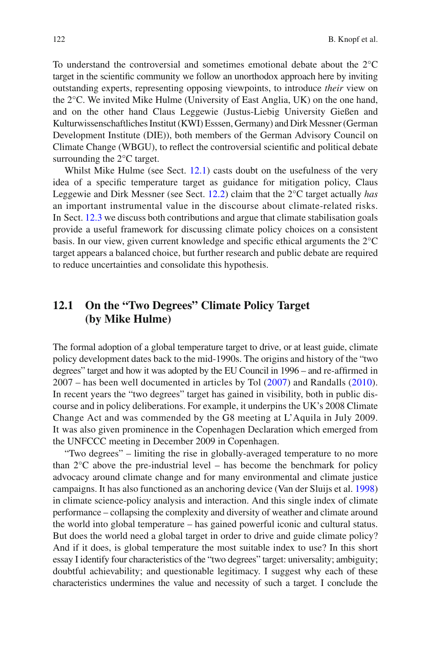To understand the controversial and sometimes emotional debate about the  $2^{\circ}C$ target in the scientific community we follow an unorthodox approach here by inviting outstanding experts, representing opposing viewpoints, to introduce *their* view on the 2°C. We invited Mike Hulme (University of East Anglia, UK) on the one hand, and on the other hand Claus Leggewie (Justus-Liebig University Gießen and Kulturwissenschaftliches Institut (KWI) Esssen, Germany) and Dirk Messner (German Development Institute (DIE)), both members of the German Advisory Council on Climate Change (WBGU), to reflect the controversial scientific and political debate surrounding the 2°C target.

Whilst Mike Hulme (see Sect.  $12.1$ ) casts doubt on the usefulness of the very idea of a specific temperature target as guidance for mitigation policy, Claus Leggewie and Dirk Messner (see Sect. [12.2 \)](#page-4-0) claim that the 2°C target actually *has* an important instrumental value in the discourse about climate-related risks. In Sect. [12.3](#page-10-0) we discuss both contributions and argue that climate stabilisation goals provide a useful framework for discussing climate policy choices on a consistent basis. In our view, given current knowledge and specific ethical arguments the  $2^{\circ}C$ target appears a balanced choice, but further research and public debate are required to reduce uncertainties and consolidate this hypothesis.

## **12.1 On the "Two Degrees" Climate Policy Target (by Mike Hulme)**

 The formal adoption of a global temperature target to drive, or at least guide, climate policy development dates back to the mid-1990s. The origins and history of the "two degrees" target and how it was adopted by the EU Council in 1996 – and re-affirmed in  $2007 -$  has been well documented in articles by Tol  $(2007)$  and Randalls  $(2010)$ . In recent years the "two degrees" target has gained in visibility, both in public discourse and in policy deliberations. For example, it underpins the UK's 2008 Climate Change Act and was commended by the G8 meeting at L'Aquila in July 2009. It was also given prominence in the Copenhagen Declaration which emerged from the UNFCCC meeting in December 2009 in Copenhagen.

 "Two degrees" – limiting the rise in globally-averaged temperature to no more than  $2^{\circ}$ C above the pre-industrial level – has become the benchmark for policy advocacy around climate change and for many environmental and climate justice campaigns. It has also functioned as an anchoring device (Van der Sluijs et al. [1998](#page-16-0)) in climate science-policy analysis and interaction. And this single index of climate performance – collapsing the complexity and diversity of weather and climate around the world into global temperature – has gained powerful iconic and cultural status. But does the world need a global target in order to drive and guide climate policy? And if it does, is global temperature the most suitable index to use? In this short essay I identify four characteristics of the "two degrees" target: universality; ambiguity; doubtful achievability; and questionable legitimacy. I suggest why each of these characteristics undermines the value and necessity of such a target. I conclude the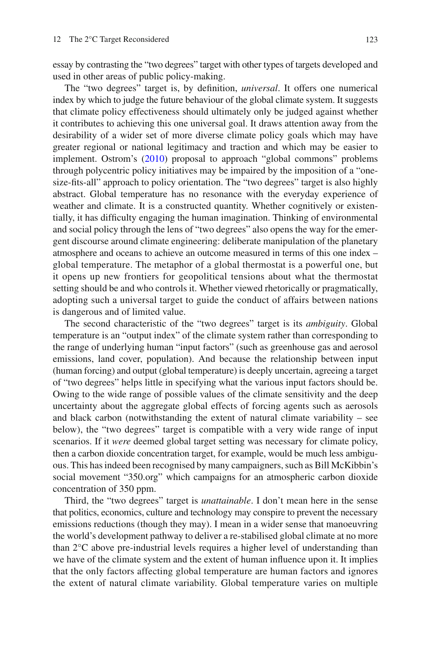essay by contrasting the "two degrees" target with other types of targets developed and used in other areas of public policy-making.

The "two degrees" target is, by definition, *universal*. It offers one numerical index by which to judge the future behaviour of the global climate system. It suggests that climate policy effectiveness should ultimately only be judged against whether it contributes to achieving this one universal goal. It draws attention away from the desirability of a wider set of more diverse climate policy goals which may have greater regional or national legitimacy and traction and which may be easier to implement. Ostrom's (2010) proposal to approach "global commons" problems through polycentric policy initiatives may be impaired by the imposition of a "onesize-fits-all" approach to policy orientation. The "two degrees" target is also highly abstract. Global temperature has no resonance with the everyday experience of weather and climate. It is a constructed quantity. Whether cognitively or existentially, it has difficulty engaging the human imagination. Thinking of environmental and social policy through the lens of "two degrees" also opens the way for the emergent discourse around climate engineering: deliberate manipulation of the planetary atmosphere and oceans to achieve an outcome measured in terms of this one index – global temperature. The metaphor of a global thermostat is a powerful one, but it opens up new frontiers for geopolitical tensions about what the thermostat setting should be and who controls it. Whether viewed rhetorically or pragmatically, adopting such a universal target to guide the conduct of affairs between nations is dangerous and of limited value.

 The second characteristic of the "two degrees" target is its *ambiguity* . Global temperature is an "output index" of the climate system rather than corresponding to the range of underlying human "input factors" (such as greenhouse gas and aerosol emissions, land cover, population). And because the relationship between input (human forcing) and output (global temperature) is deeply uncertain, agreeing a target of "two degrees" helps little in specifying what the various input factors should be. Owing to the wide range of possible values of the climate sensitivity and the deep uncertainty about the aggregate global effects of forcing agents such as aerosols and black carbon (notwithstanding the extent of natural climate variability – see below), the "two degrees" target is compatible with a very wide range of input scenarios. If it *were* deemed global target setting was necessary for climate policy, then a carbon dioxide concentration target, for example, would be much less ambiguous. This has indeed been recognised by many campaigners, such as Bill McKibbin's social movement "350.org" which campaigns for an atmospheric carbon dioxide concentration of 350 ppm.

 Third, the "two degrees" target is *unattainable* . I don't mean here in the sense that politics, economics, culture and technology may conspire to prevent the necessary emissions reductions (though they may). I mean in a wider sense that manoeuvring the world's development pathway to deliver a re-stabilised global climate at no more than 2°C above pre-industrial levels requires a higher level of understanding than we have of the climate system and the extent of human influence upon it. It implies that the only factors affecting global temperature are human factors and ignores the extent of natural climate variability. Global temperature varies on multiple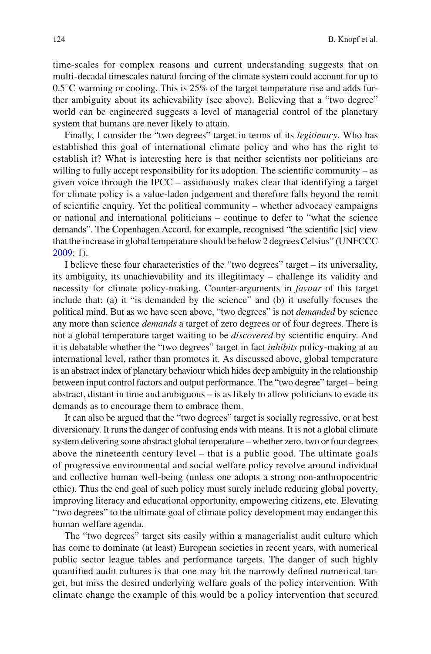time-scales for complex reasons and current understanding suggests that on multi-decadal timescales natural forcing of the climate system could account for up to 0.5°C warming or cooling. This is 25% of the target temperature rise and adds further ambiguity about its achievability (see above). Believing that a "two degree" world can be engineered suggests a level of managerial control of the planetary system that humans are never likely to attain.

 Finally, I consider the "two degrees" target in terms of its *legitimacy* . Who has established this goal of international climate policy and who has the right to establish it? What is interesting here is that neither scientists nor politicians are willing to fully accept responsibility for its adoption. The scientific community  $-$  as given voice through the IPCC – assiduously makes clear that identifying a target for climate policy is a value-laden judgement and therefore falls beyond the remit of scientific enquiry. Yet the political community – whether advocacy campaigns or national and international politicians – continue to defer to "what the science demands". The Copenhagen Accord, for example, recognised "the scientific [sic] view that the increase in global temperature should be below 2 degrees Celsius" (UNFCCC  $2009:1$ .

 I believe these four characteristics of the "two degrees" target – its universality, its ambiguity, its unachievability and its illegitimacy – challenge its validity and necessity for climate policy-making. Counter-arguments in *favour* of this target include that: (a) it "is demanded by the science" and (b) it usefully focuses the political mind. But as we have seen above, "two degrees" is not *demanded* by science any more than science *demands* a target of zero degrees or of four degrees. There is not a global temperature target waiting to be *discovered* by scientific enquiry. And it is debatable whether the "two degrees" target in fact *inhibits* policy-making at an international level, rather than promotes it. As discussed above, global temperature is an abstract index of planetary behaviour which hides deep ambiguity in the relationship between input control factors and output performance. The "two degree" target – being abstract, distant in time and ambiguous – is as likely to allow politicians to evade its demands as to encourage them to embrace them.

 It can also be argued that the "two degrees" target is socially regressive, or at best diversionary. It runs the danger of confusing ends with means. It is not a global climate system delivering some abstract global temperature – whether zero, two or four degrees above the nineteenth century level – that is a public good. The ultimate goals of progressive environmental and social welfare policy revolve around individual and collective human well-being (unless one adopts a strong non-anthropocentric ethic). Thus the end goal of such policy must surely include reducing global poverty, improving literacy and educational opportunity, empowering citizens, etc. Elevating "two degrees" to the ultimate goal of climate policy development may endanger this human welfare agenda.

 The "two degrees" target sits easily within a managerialist audit culture which has come to dominate (at least) European societies in recent years, with numerical public sector league tables and performance targets. The danger of such highly quantified audit cultures is that one may hit the narrowly defined numerical target, but miss the desired underlying welfare goals of the policy intervention. With climate change the example of this would be a policy intervention that secured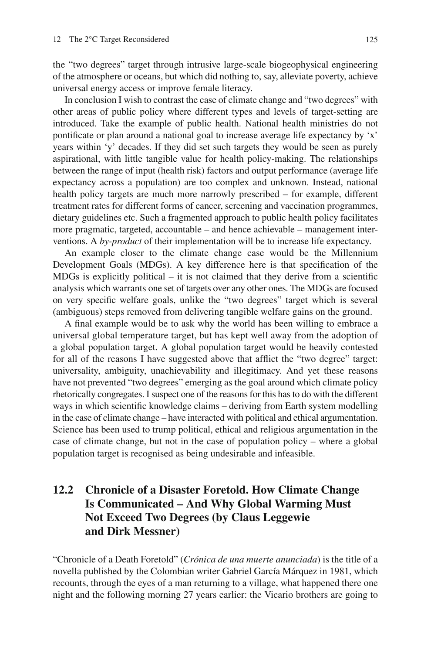<span id="page-4-0"></span>the "two degrees" target through intrusive large-scale biogeophysical engineering of the atmosphere or oceans, but which did nothing to, say, alleviate poverty, achieve universal energy access or improve female literacy.

 In conclusion I wish to contrast the case of climate change and "two degrees" with other areas of public policy where different types and levels of target-setting are introduced. Take the example of public health. National health ministries do not pontificate or plan around a national goal to increase average life expectancy by 'x' years within 'y' decades. If they did set such targets they would be seen as purely aspirational, with little tangible value for health policy-making. The relationships between the range of input (health risk) factors and output performance (average life expectancy across a population) are too complex and unknown. Instead, national health policy targets are much more narrowly prescribed – for example, different treatment rates for different forms of cancer, screening and vaccination programmes, dietary guidelines etc. Such a fragmented approach to public health policy facilitates more pragmatic, targeted, accountable – and hence achievable – management interventions. A *by-product* of their implementation will be to increase life expectancy.

 An example closer to the climate change case would be the Millennium Development Goals (MDGs). A key difference here is that specification of the MDGs is explicitly political  $-$  it is not claimed that they derive from a scientific analysis which warrants one set of targets over any other ones. The MDGs are focused on very specific welfare goals, unlike the "two degrees" target which is several (ambiguous) steps removed from delivering tangible welfare gains on the ground.

A final example would be to ask why the world has been willing to embrace a universal global temperature target, but has kept well away from the adoption of a global population target. A global population target would be heavily contested for all of the reasons I have suggested above that afflict the "two degree" target: universality, ambiguity, unachievability and illegitimacy. And yet these reasons have not prevented "two degrees" emerging as the goal around which climate policy rhetorically congregates. I suspect one of the reasons for this has to do with the different ways in which scientific knowledge claims – deriving from Earth system modelling in the case of climate change – have interacted with political and ethical argumentation. Science has been used to trump political, ethical and religious argumentation in the case of climate change, but not in the case of population policy – where a global population target is recognised as being undesirable and infeasible.

# **12.2 Chronicle of a Disaster Foretold. How Climate Change Is Communicated – And Why Global Warming Must Not Exceed Two Degrees (by Claus Leggewie and Dirk Messner)**

 "Chronicle of a Death Foretold" ( *Crónica de una muerte anunciada* ) is the title of a novella published by the Colombian writer Gabriel García Márquez in 1981, which recounts, through the eyes of a man returning to a village, what happened there one night and the following morning 27 years earlier: the Vicario brothers are going to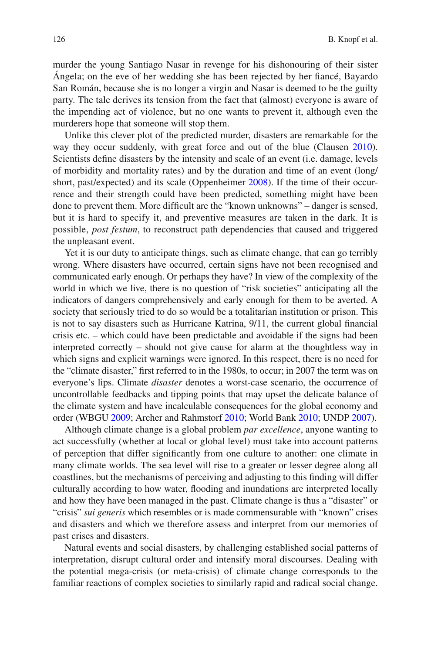murder the young Santiago Nasar in revenge for his dishonouring of their sister Ángela; on the eve of her wedding she has been rejected by her fiancé, Bayardo San Román, because she is no longer a virgin and Nasar is deemed to be the guilty party. The tale derives its tension from the fact that (almost) everyone is aware of the impending act of violence, but no one wants to prevent it, although even the murderers hope that someone will stop them.

 Unlike this clever plot of the predicted murder, disasters are remarkable for the way they occur suddenly, with great force and out of the blue (Clausen  $2010$ ). Scientists define disasters by the intensity and scale of an event (i.e. damage, levels of morbidity and mortality rates) and by the duration and time of an event (long/ short, past/expected) and its scale (Oppenheimer [2008](#page-15-0)). If the time of their occurrence and their strength could have been predicted, something might have been done to prevent them. More difficult are the "known unknowns" – danger is sensed, but it is hard to specify it, and preventive measures are taken in the dark. It is possible, *post festum*, to reconstruct path dependencies that caused and triggered the unpleasant event.

 Yet it is our duty to anticipate things, such as climate change, that can go terribly wrong. Where disasters have occurred, certain signs have not been recognised and communicated early enough. Or perhaps they have? In view of the complexity of the world in which we live, there is no question of "risk societies" anticipating all the indicators of dangers comprehensively and early enough for them to be averted. A society that seriously tried to do so would be a totalitarian institution or prison. This is not to say disasters such as Hurricane Katrina,  $9/11$ , the current global financial crisis etc. – which could have been predictable and avoidable if the signs had been interpreted correctly – should not give cause for alarm at the thoughtless way in which signs and explicit warnings were ignored. In this respect, there is no need for the "climate disaster," first referred to in the 1980s, to occur; in 2007 the term was on everyone's lips. Climate *disaster* denotes a worst-case scenario, the occurrence of uncontrollable feedbacks and tipping points that may upset the delicate balance of the climate system and have incalculable consequences for the global economy and order (WBGU [2009](#page-16-0); Archer and Rahmstorf [2010](#page-16-0); World Bank 2010; UNDP 2007).

 Although climate change is a global problem *par excellence* , anyone wanting to act successfully (whether at local or global level) must take into account patterns of perception that differ significantly from one culture to another: one climate in many climate worlds. The sea level will rise to a greater or lesser degree along all coastlines, but the mechanisms of perceiving and adjusting to this finding will differ culturally according to how water, flooding and inundations are interpreted locally and how they have been managed in the past. Climate change is thus a "disaster" or "crisis" *sui generis* which resembles or is made commensurable with "known" crises and disasters and which we therefore assess and interpret from our memories of past crises and disasters.

 Natural events and social disasters, by challenging established social patterns of interpretation, disrupt cultural order and intensify moral discourses. Dealing with the potential mega-crisis (or meta-crisis) of climate change corresponds to the familiar reactions of complex societies to similarly rapid and radical social change.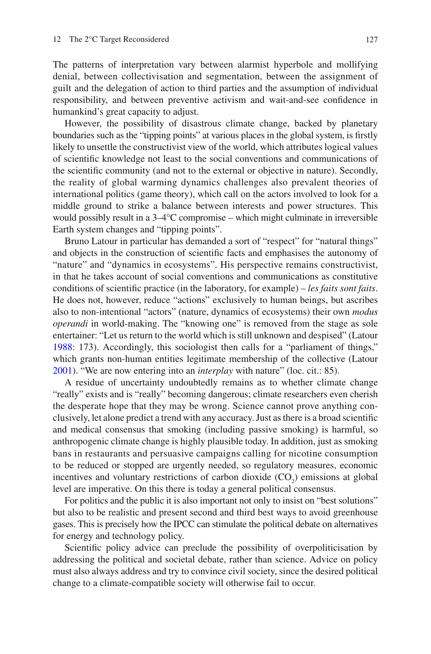The patterns of interpretation vary between alarmist hyperbole and mollifying denial, between collectivisation and segmentation, between the assignment of guilt and the delegation of action to third parties and the assumption of individual responsibility, and between preventive activism and wait-and-see confidence in humankind's great capacity to adjust.

 However, the possibility of disastrous climate change, backed by planetary boundaries such as the "tipping points" at various places in the global system, is firstly likely to unsettle the constructivist view of the world, which attributes logical values of scientific knowledge not least to the social conventions and communications of the scientific community (and not to the external or objective in nature). Secondly, the reality of global warming dynamics challenges also prevalent theories of international politics (game theory), which call on the actors involved to look for a middle ground to strike a balance between interests and power structures. This would possibly result in a 3–4°C compromise – which might culminate in irreversible Earth system changes and "tipping points".

 Bruno Latour in particular has demanded a sort of "respect" for "natural things" and objects in the construction of scientific facts and emphasises the autonomy of "nature" and "dynamics in ecosystems". His perspective remains constructivist, in that he takes account of social conventions and communications as constitutive conditions of scientific practice (in the laboratory, for example) – *les faits sont faits*. He does not, however, reduce "actions" exclusively to human beings, but ascribes also to non-intentional "actors" (nature, dynamics of ecosystems) their own *modus operandi* in world-making. The "knowing one" is removed from the stage as sole entertainer: "Let us return to the world which is still unknown and despised" (Latour [1988 :](#page-15-0) 173). Accordingly, this sociologist then calls for a "parliament of things," which grants non-human entities legitimate membership of the collective (Latour 2001). "We are now entering into an *interplay* with nature" (loc. cit.: 85).

 A residue of uncertainty undoubtedly remains as to whether climate change "really" exists and is "really" becoming dangerous; climate researchers even cherish the desperate hope that they may be wrong. Science cannot prove anything conclusively, let alone predict a trend with any accuracy. Just as there is a broad scientific and medical consensus that smoking (including passive smoking) is harmful, so anthropogenic climate change is highly plausible today. In addition, just as smoking bans in restaurants and persuasive campaigns calling for nicotine consumption to be reduced or stopped are urgently needed, so regulatory measures, economic incentives and voluntary restrictions of carbon dioxide  $(CO_2)$  emissions at global level are imperative. On this there is today a general political consensus.

 For politics and the public it is also important not only to insist on "best solutions" but also to be realistic and present second and third best ways to avoid greenhouse gases. This is precisely how the IPCC can stimulate the political debate on alternatives for energy and technology policy.

Scientific policy advice can preclude the possibility of overpoliticisation by addressing the political and societal debate, rather than science. Advice on policy must also always address and try to convince civil society, since the desired political change to a climate-compatible society will otherwise fail to occur.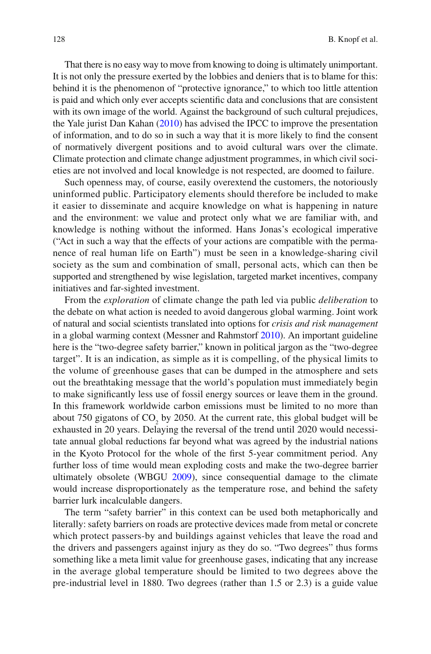That there is no easy way to move from knowing to doing is ultimately unimportant. It is not only the pressure exerted by the lobbies and deniers that is to blame for this: behind it is the phenomenon of "protective ignorance," to which too little attention is paid and which only ever accepts scientific data and conclusions that are consistent with its own image of the world. Against the background of such cultural prejudices, the Yale jurist Dan Kahan  $(2010)$  has advised the IPCC to improve the presentation of information, and to do so in such a way that it is more likely to find the consent of normatively divergent positions and to avoid cultural wars over the climate. Climate protection and climate change adjustment programmes, in which civil societies are not involved and local knowledge is not respected, are doomed to failure.

 Such openness may, of course, easily overextend the customers, the notoriously uninformed public. Participatory elements should therefore be included to make it easier to disseminate and acquire knowledge on what is happening in nature and the environment: we value and protect only what we are familiar with, and knowledge is nothing without the informed. Hans Jonas's ecological imperative ("Act in such a way that the effects of your actions are compatible with the permanence of real human life on Earth") must be seen in a knowledge-sharing civil society as the sum and combination of small, personal acts, which can then be supported and strengthened by wise legislation, targeted market incentives, company initiatives and far-sighted investment.

 From the *exploration* of climate change the path led via public *deliberation* to the debate on what action is needed to avoid dangerous global warming. Joint work of natural and social scientists translated into options for *crisis and risk management* in a global warming context (Messner and Rahmstorf [2010](#page-15-0)). An important guideline here is the "two-degree safety barrier," known in political jargon as the "two-degree target". It is an indication, as simple as it is compelling, of the physical limits to the volume of greenhouse gases that can be dumped in the atmosphere and sets out the breathtaking message that the world's population must immediately begin to make significantly less use of fossil energy sources or leave them in the ground. In this framework worldwide carbon emissions must be limited to no more than about 750 gigatons of  $CO_2$  by 2050. At the current rate, this global budget will be exhausted in 20 years. Delaying the reversal of the trend until 2020 would necessitate annual global reductions far beyond what was agreed by the industrial nations in the Kyoto Protocol for the whole of the first 5-year commitment period. Any further loss of time would mean exploding costs and make the two-degree barrier ultimately obsolete (WBGU 2009), since consequential damage to the climate would increase disproportionately as the temperature rose, and behind the safety barrier lurk incalculable dangers.

 The term "safety barrier" in this context can be used both metaphorically and literally: safety barriers on roads are protective devices made from metal or concrete which protect passers-by and buildings against vehicles that leave the road and the drivers and passengers against injury as they do so. "Two degrees" thus forms something like a meta limit value for greenhouse gases, indicating that any increase in the average global temperature should be limited to two degrees above the pre-industrial level in 1880. Two degrees (rather than 1.5 or 2.3) is a guide value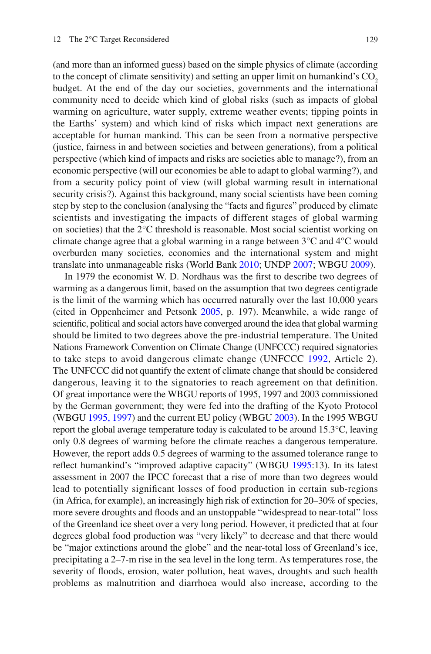(and more than an informed guess) based on the simple physics of climate (according to the concept of climate sensitivity) and setting an upper limit on humankind's  $CO<sub>2</sub>$ budget. At the end of the day our societies, governments and the international community need to decide which kind of global risks (such as impacts of global warming on agriculture, water supply, extreme weather events; tipping points in the Earths' system) and which kind of risks which impact next generations are acceptable for human mankind. This can be seen from a normative perspective (justice, fairness in and between societies and between generations), from a political perspective (which kind of impacts and risks are societies able to manage?), from an economic perspective (will our economies be able to adapt to global warming?), and from a security policy point of view (will global warming result in international security crisis?). Against this background, many social scientists have been coming step by step to the conclusion (analysing the "facts and figures" produced by climate scientists and investigating the impacts of different stages of global warming on societies) that the  $2^{\circ}$ C threshold is reasonable. Most social scientist working on climate change agree that a global warming in a range between 3°C and 4°C would overburden many societies, economies and the international system and might translate into unmanageable risks (World Bank [2010](#page-16-0); UNDP [2007](#page-16-0); WBGU [2009](#page-16-0)).

In 1979 the economist W. D. Nordhaus was the first to describe two degrees of warming as a dangerous limit, based on the assumption that two degrees centigrade is the limit of the warming which has occurred naturally over the last 10,000 years (cited in Oppenheimer and Petsonk 2005, p. 197). Meanwhile, a wide range of scientific, political and social actors have converged around the idea that global warming should be limited to two degrees above the pre-industrial temperature. The United Nations Framework Convention on Climate Change (UNFCCC) required signatories to take steps to avoid dangerous climate change (UNFCCC [1992 ,](#page-16-0) Article 2). The UNFCCC did not quantify the extent of climate change that should be considered dangerous, leaving it to the signatories to reach agreement on that definition. Of great importance were the WBGU reports of 1995, 1997 and 2003 commissioned by the German government; they were fed into the drafting of the Kyoto Protocol (WBGU [1995, 1997 \)](#page-16-0) and the current EU policy (WBGU [2003 \)](#page-16-0) . In the 1995 WBGU report the global average temperature today is calculated to be around 15.3°C, leaving only 0.8 degrees of warming before the climate reaches a dangerous temperature. However, the report adds 0.5 degrees of warming to the assumed tolerance range to reflect humankind's "improved adaptive capacity" (WBGU [1995](#page-16-0):13). In its latest assessment in 2007 the IPCC forecast that a rise of more than two degrees would lead to potentially significant losses of food production in certain sub-regions (in Africa, for example), an increasingly high risk of extinction for 20–30% of species, more severe droughts and floods and an unstoppable "widespread to near-total" loss of the Greenland ice sheet over a very long period. However, it predicted that at four degrees global food production was "very likely" to decrease and that there would be "major extinctions around the globe" and the near-total loss of Greenland's ice, precipitating a 2–7-m rise in the sea level in the long term. As temperatures rose, the severity of floods, erosion, water pollution, heat waves, droughts and such health problems as malnutrition and diarrhoea would also increase, according to the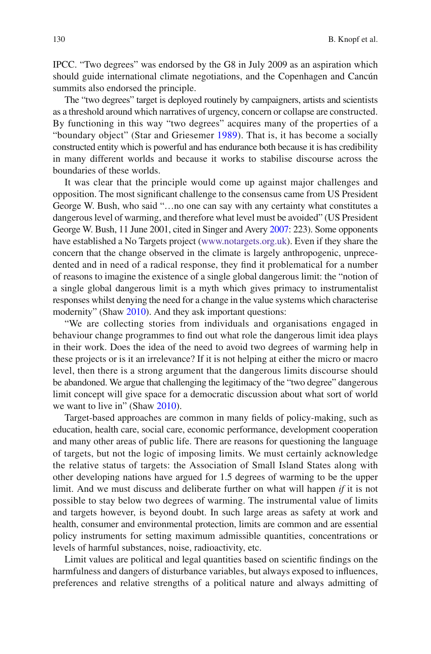IPCC. "Two degrees" was endorsed by the G8 in July 2009 as an aspiration which should guide international climate negotiations, and the Copenhagen and Cancún summits also endorsed the principle.

 The "two degrees" target is deployed routinely by campaigners, artists and scientists as a threshold around which narratives of urgency, concern or collapse are constructed. By functioning in this way "two degrees" acquires many of the properties of a "boundary object" (Star and Griesemer  $1989$ ). That is, it has become a socially constructed entity which is powerful and has endurance both because it is has credibility in many different worlds and because it works to stabilise discourse across the boundaries of these worlds.

 It was clear that the principle would come up against major challenges and opposition. The most significant challenge to the consensus came from US President George W. Bush, who said "…no one can say with any certainty what constitutes a dangerous level of warming, and therefore what level must be avoided" (US President George W. Bush, 11 June 2001, cited in Singer and Avery [2007](#page-15-0): 223). Some opponents have established a No Targets project [\(www.notargets.org.uk\)](http://www.notargets.org.uk). Even if they share the concern that the change observed in the climate is largely anthropogenic, unprecedented and in need of a radical response, they find it problematical for a number of reasons to imagine the existence of a single global dangerous limit: the "notion of a single global dangerous limit is a myth which gives primacy to instrumentalist responses whilst denying the need for a change in the value systems which characterise modernity" (Shaw 2010). And they ask important questions:

 "We are collecting stories from individuals and organisations engaged in behaviour change programmes to find out what role the dangerous limit idea plays in their work. Does the idea of the need to avoid two degrees of warming help in these projects or is it an irrelevance? If it is not helping at either the micro or macro level, then there is a strong argument that the dangerous limits discourse should be abandoned. We argue that challenging the legitimacy of the "two degree" dangerous limit concept will give space for a democratic discussion about what sort of world we want to live in" (Shaw  $2010$ ).

Target-based approaches are common in many fields of policy-making, such as education, health care, social care, economic performance, development cooperation and many other areas of public life. There are reasons for questioning the language of targets, but not the logic of imposing limits. We must certainly acknowledge the relative status of targets: the Association of Small Island States along with other developing nations have argued for 1.5 degrees of warming to be the upper limit. And we must discuss and deliberate further on what will happen *if* it is not possible to stay below two degrees of warming. The instrumental value of limits and targets however, is beyond doubt. In such large areas as safety at work and health, consumer and environmental protection, limits are common and are essential policy instruments for setting maximum admissible quantities, concentrations or levels of harmful substances, noise, radioactivity, etc.

Limit values are political and legal quantities based on scientific findings on the harmfulness and dangers of disturbance variables, but always exposed to influences, preferences and relative strengths of a political nature and always admitting of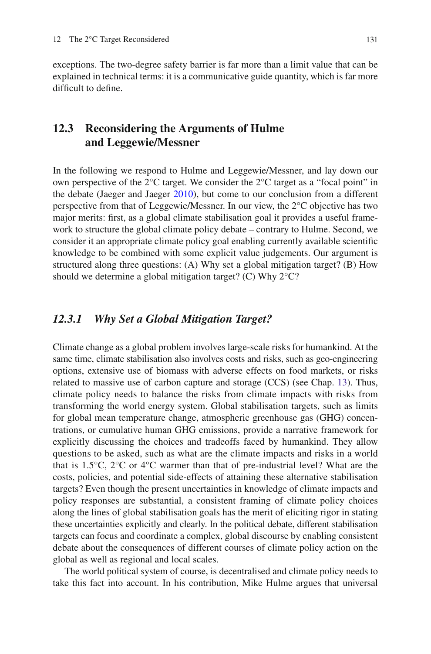<span id="page-10-0"></span>exceptions. The two-degree safety barrier is far more than a limit value that can be explained in technical terms: it is a communicative guide quantity, which is far more difficult to define.

### **12.3 Reconsidering the Arguments of Hulme and Leggewie/Messner**

 In the following we respond to Hulme and Leggewie/Messner, and lay down our own perspective of the 2°C target. We consider the 2°C target as a "focal point" in the debate (Jaeger and Jaeger  $2010$ ), but come to our conclusion from a different perspective from that of Leggewie/Messner. In our view, the 2°C objective has two major merits: first, as a global climate stabilisation goal it provides a useful framework to structure the global climate policy debate – contrary to Hulme. Second, we consider it an appropriate climate policy goal enabling currently available scientific knowledge to be combined with some explicit value judgements. Our argument is structured along three questions: (A) Why set a global mitigation target? (B) How should we determine a global mitigation target? (C) Why 2°C?

#### *12.3.1 Why Set a Global Mitigation Target?*

 Climate change as a global problem involves large-scale risks for humankind. At the same time, climate stabilisation also involves costs and risks, such as geo-engineering options, extensive use of biomass with adverse effects on food markets, or risks related to massive use of carbon capture and storage (CCS) (see Chap. [13](http://dx.doi.org/10.1007/978-94-007-4540-7_13)). Thus, climate policy needs to balance the risks from climate impacts with risks from transforming the world energy system. Global stabilisation targets, such as limits for global mean temperature change, atmospheric greenhouse gas (GHG) concentrations, or cumulative human GHG emissions, provide a narrative framework for explicitly discussing the choices and tradeoffs faced by humankind. They allow questions to be asked, such as what are the climate impacts and risks in a world that is 1.5°C, 2°C or 4°C warmer than that of pre-industrial level? What are the costs, policies, and potential side-effects of attaining these alternative stabilisation targets? Even though the present uncertainties in knowledge of climate impacts and policy responses are substantial, a consistent framing of climate policy choices along the lines of global stabilisation goals has the merit of eliciting rigor in stating these uncertainties explicitly and clearly. In the political debate, different stabilisation targets can focus and coordinate a complex, global discourse by enabling consistent debate about the consequences of different courses of climate policy action on the global as well as regional and local scales.

 The world political system of course, is decentralised and climate policy needs to take this fact into account. In his contribution, Mike Hulme argues that universal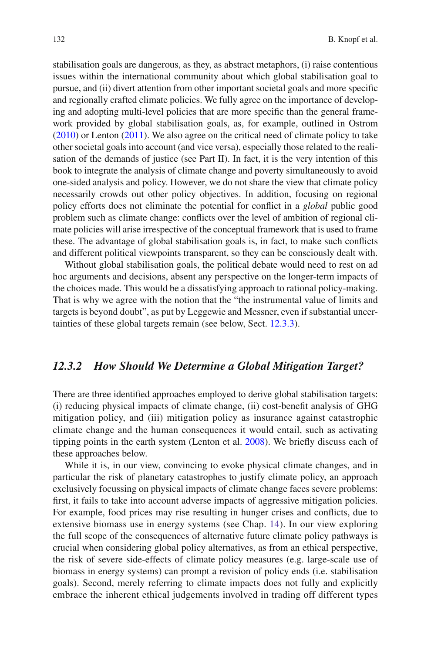stabilisation goals are dangerous, as they, as abstract metaphors, (i) raise contentious issues within the international community about which global stabilisation goal to pursue, and (ii) divert attention from other important societal goals and more specific and regionally crafted climate policies. We fully agree on the importance of developing and adopting multi-level policies that are more specific than the general framework provided by global stabilisation goals, as, for example, outlined in Ostrom  $(2010)$  or Lenton  $(2011)$ . We also agree on the critical need of climate policy to take other societal goals into account (and vice versa), especially those related to the realisation of the demands of justice (see Part II). In fact, it is the very intention of this book to integrate the analysis of climate change and poverty simultaneously to avoid one-sided analysis and policy. However, we do not share the view that climate policy necessarily crowds out other policy objectives. In addition, focusing on regional policy efforts does not eliminate the potential for conflict in a *global* public good problem such as climate change: conflicts over the level of ambition of regional climate policies will arise irrespective of the conceptual framework that is used to frame these. The advantage of global stabilisation goals is, in fact, to make such conflicts and different political viewpoints transparent, so they can be consciously dealt with.

 Without global stabilisation goals, the political debate would need to rest on ad hoc arguments and decisions, absent any perspective on the longer-term impacts of the choices made. This would be a dissatisfying approach to rational policy-making. That is why we agree with the notion that the "the instrumental value of limits and targets is beyond doubt", as put by Leggewie and Messner, even if substantial uncertainties of these global targets remain (see below, Sect. [12.3.3](#page-12-0) ).

#### *12.3.2 How Should We Determine a Global Mitigation Target?*

There are three identified approaches employed to derive global stabilisation targets: (i) reducing physical impacts of climate change, (ii) cost-benefit analysis of GHG mitigation policy, and (iii) mitigation policy as insurance against catastrophic climate change and the human consequences it would entail, such as activating tipping points in the earth system (Lenton et al. [2008](#page-15-0)). We briefly discuss each of these approaches below.

 While it is, in our view, convincing to evoke physical climate changes, and in particular the risk of planetary catastrophes to justify climate policy, an approach exclusively focussing on physical impacts of climate change faces severe problems: first, it fails to take into account adverse impacts of aggressive mitigation policies. For example, food prices may rise resulting in hunger crises and conflicts, due to extensive biomass use in energy systems (see Chap. [14](http://dx.doi.org/10.1007/978-94-007-4540-7_14)). In our view exploring the full scope of the consequences of alternative future climate policy pathways is crucial when considering global policy alternatives, as from an ethical perspective, the risk of severe side-effects of climate policy measures (e.g. large-scale use of biomass in energy systems) can prompt a revision of policy ends (i.e. stabilisation goals). Second, merely referring to climate impacts does not fully and explicitly embrace the inherent ethical judgements involved in trading off different types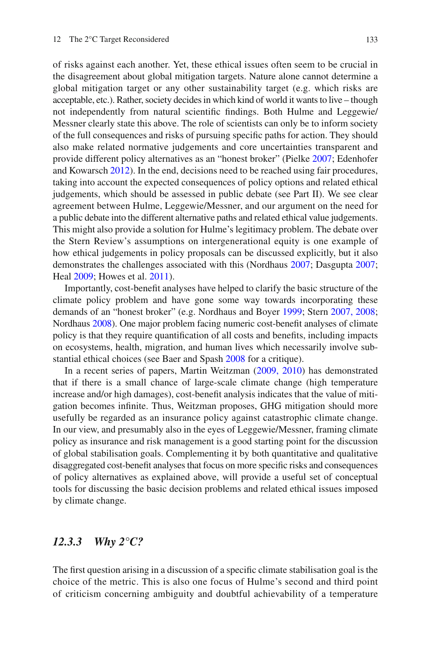<span id="page-12-0"></span>of risks against each another. Yet, these ethical issues often seem to be crucial in the disagreement about global mitigation targets. Nature alone cannot determine a global mitigation target or any other sustainability target (e.g. which risks are acceptable, etc.). Rather, society decides in which kind of world it wants to live – though not independently from natural scientific findings. Both Hulme and Leggewie/ Messner clearly state this above. The role of scientists can only be to inform society of the full consequences and risks of pursuing specific paths for action. They should also make related normative judgements and core uncertainties transparent and provide different policy alternatives as an "honest broker" (Pielke 2007; Edenhofer and Kowarsch  $2012$ ). In the end, decisions need to be reached using fair procedures, taking into account the expected consequences of policy options and related ethical judgements, which should be assessed in public debate (see Part II). We see clear agreement between Hulme, Leggewie/Messner, and our argument on the need for a public debate into the different alternative paths and related ethical value judgements. This might also provide a solution for Hulme's legitimacy problem. The debate over the Stern Review's assumptions on intergenerational equity is one example of how ethical judgements in policy proposals can be discussed explicitly, but it also demonstrates the challenges associated with this (Nordhaus [2007](#page-15-0); Dasgupta 2007; Heal [2009](#page-15-0); Howes et al. [2011](#page-15-0)).

Importantly, cost-benefit analyses have helped to clarify the basic structure of the climate policy problem and have gone some way towards incorporating these demands of an "honest broker" (e.g. Nordhaus and Boyer [1999](#page-15-0); Stern 2007, 2008; Nordhaus 2008). One major problem facing numeric cost-benefit analyses of climate policy is that they require quantification of all costs and benefits, including impacts on ecosystems, health, migration, and human lives which necessarily involve substantial ethical choices (see Baer and Spash [2008](#page-14-0) for a critique).

In a recent series of papers, Martin Weitzman (2009, 2010) has demonstrated that if there is a small chance of large-scale climate change (high temperature increase and/or high damages), cost-benefit analysis indicates that the value of mitigation becomes infinite. Thus, Weitzman proposes, GHG mitigation should more usefully be regarded as an insurance policy against catastrophic climate change. In our view, and presumably also in the eyes of Leggewie/Messner, framing climate policy as insurance and risk management is a good starting point for the discussion of global stabilisation goals. Complementing it by both quantitative and qualitative disaggregated cost-benefit analyses that focus on more specific risks and consequences of policy alternatives as explained above, will provide a useful set of conceptual tools for discussing the basic decision problems and related ethical issues imposed by climate change.

#### *12.3.3 Why 2°C?*

The first question arising in a discussion of a specific climate stabilisation goal is the choice of the metric. This is also one focus of Hulme's second and third point of criticism concerning ambiguity and doubtful achievability of a temperature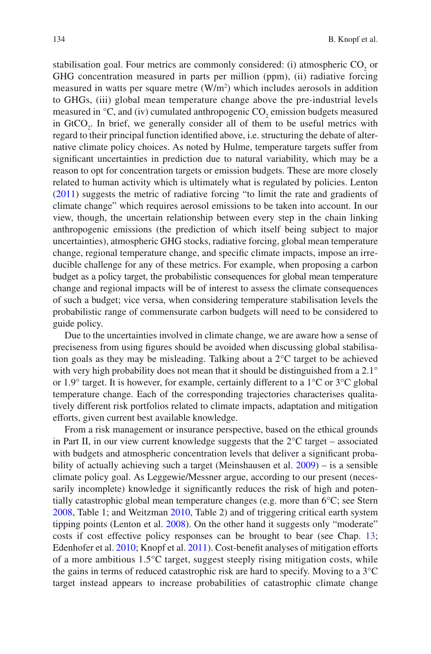stabilisation goal. Four metrics are commonly considered: (i) atmospheric  $CO_2$  or GHG concentration measured in parts per million (ppm), (ii) radiative forcing measured in watts per square metre  $(W/m<sup>2</sup>)$  which includes aerosols in addition to GHGs, (iii) global mean temperature change above the pre-industrial levels measured in  $\mathrm{^{\circ}C}$ , and (iv) cumulated anthropogenic  $\mathrm{CO}_{2}$  emission budgets measured in  $GtCO<sub>2</sub>$ . In brief, we generally consider all of them to be useful metrics with regard to their principal function identified above, i.e. structuring the debate of alternative climate policy choices. As noted by Hulme, temperature targets suffer from significant uncertainties in prediction due to natural variability, which may be a reason to opt for concentration targets or emission budgets. These are more closely related to human activity which is ultimately what is regulated by policies. Lenton (2011) suggests the metric of radiative forcing "to limit the rate and gradients of climate change" which requires aerosol emissions to be taken into account. In our view, though, the uncertain relationship between every step in the chain linking anthropogenic emissions (the prediction of which itself being subject to major uncertainties), atmospheric GHG stocks, radiative forcing, global mean temperature change, regional temperature change, and specific climate impacts, impose an irreducible challenge for any of these metrics. For example, when proposing a carbon budget as a policy target, the probabilistic consequences for global mean temperature change and regional impacts will be of interest to assess the climate consequences of such a budget; vice versa, when considering temperature stabilisation levels the probabilistic range of commensurate carbon budgets will need to be considered to guide policy.

 Due to the uncertainties involved in climate change, we are aware how a sense of preciseness from using figures should be avoided when discussing global stabilisation goals as they may be misleading. Talking about a 2°C target to be achieved with very high probability does not mean that it should be distinguished from a 2.1° or 1.9° target. It is however, for example, certainly different to a 1°C or 3°C global temperature change. Each of the corresponding trajectories characterises qualitatively different risk portfolios related to climate impacts, adaptation and mitigation efforts, given current best available knowledge.

 From a risk management or insurance perspective, based on the ethical grounds in Part II, in our view current knowledge suggests that the 2°C target – associated with budgets and atmospheric concentration levels that deliver a significant probability of actually achieving such a target (Meinshausen et al. [2009 \)](#page-15-0) – is a sensible climate policy goal. As Leggewie/Messner argue, according to our present (necessarily incomplete) knowledge it significantly reduces the risk of high and potentially catastrophic global mean temperature changes (e.g. more than 6°C; see Stern 2008, Table 1; and Weitzman 2010, Table 2) and of triggering critical earth system tipping points (Lenton et al. [2008](#page-15-0)). On the other hand it suggests only "moderate" costs if cost effective policy responses can be brought to bear (see Chap. [13;](http://dx.doi.org/10.1007/978-94-007-4540-7_13) Edenhofer et al. [2010](#page-14-0); Knopf et al. 2011). Cost-benefit analyses of mitigation efforts of a more ambitious  $1.5^{\circ}$ C target, suggest steeply rising mitigation costs, while the gains in terms of reduced catastrophic risk are hard to specify. Moving to a 3°C target instead appears to increase probabilities of catastrophic climate change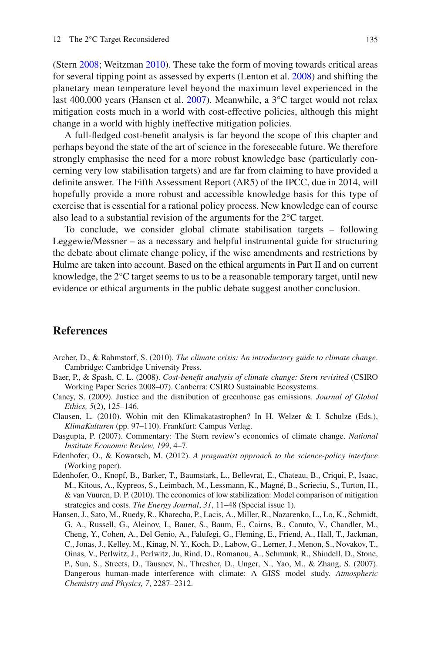<span id="page-14-0"></span>(Stern  $2008$ ; Weitzman  $2010$ ). These take the form of moving towards critical areas for several tipping point as assessed by experts (Lenton et al. 2008) and shifting the planetary mean temperature level beyond the maximum level experienced in the last 400,000 years (Hansen et al.  $2007$ ). Meanwhile, a  $3^{\circ}$ C target would not relax mitigation costs much in a world with cost-effective policies, although this might change in a world with highly ineffective mitigation policies.

A full-fledged cost-benefit analysis is far beyond the scope of this chapter and perhaps beyond the state of the art of science in the foreseeable future. We therefore strongly emphasise the need for a more robust knowledge base (particularly concerning very low stabilisation targets) and are far from claiming to have provided a definite answer. The Fifth Assessment Report (AR5) of the IPCC, due in 2014, will hopefully provide a more robust and accessible knowledge basis for this type of exercise that is essential for a rational policy process. New knowledge can of course also lead to a substantial revision of the arguments for the 2°C target.

 To conclude, we consider global climate stabilisation targets – following Leggewie/Messner – as a necessary and helpful instrumental guide for structuring the debate about climate change policy, if the wise amendments and restrictions by Hulme are taken into account. Based on the ethical arguments in Part II and on current knowledge, the 2°C target seems to us to be a reasonable temporary target, until new evidence or ethical arguments in the public debate suggest another conclusion.

#### **References**

- Archer, D., & Rahmstorf, S. (2010). *The climate crisis: An introductory guide to climate change* . Cambridge: Cambridge University Press.
- Baer, P., & Spash, C. L. (2008). *Cost-bene fi t analysis of climate change: Stern revisited* (CSIRO Working Paper Series 2008–07). Canberra: CSIRO Sustainable Ecosystems.
- Caney, S. (2009). Justice and the distribution of greenhouse gas emissions. *Journal of Global Ethics, 5* (2), 125–146.
- Clausen, L. (2010). Wohin mit den Klimakatastrophen? In H. Welzer & I. Schulze (Eds.), *KlimaKulturen* (pp. 97–110). Frankfurt: Campus Verlag.
- Dasgupta, P. (2007). Commentary: The Stern review's economics of climate change. *National Institute Economic Review, 199* , 4–7.
- Edenhofer, O., & Kowarsch, M. (2012). *A pragmatist approach to the science-policy interface* (Working paper).
- Edenhofer, O., Knopf, B., Barker, T., Baumstark, L., Bellevrat, E., Chateau, B., Criqui, P., Isaac, M., Kitous, A., Kypreos, S., Leimbach, M., Lessmann, K., Magné, B., Scrieciu, S., Turton, H., & van Vuuren, D. P. (2010). The economics of low stabilization: Model comparison of mitigation strategies and costs. *The Energy Journal*, 31, 11–48 (Special issue 1).
- Hansen, J., Sato, M., Ruedy, R., Kharecha, P., Lacis, A., Miller, R., Nazarenko, L., Lo, K., Schmidt, G. A., Russell, G., Aleinov, I., Bauer, S., Baum, E., Cairns, B., Canuto, V., Chandler, M., Cheng, Y., Cohen, A., Del Genio, A., Falufegi, G., Fleming, E., Friend, A., Hall, T., Jackman, C., Jonas, J., Kelley, M., Kinag, N. Y., Koch, D., Labow, G., Lerner, J., Menon, S., Novakov, T., Oinas, V., Perlwitz, J., Perlwitz, Ju, Rind, D., Romanou, A., Schmunk, R., Shindell, D., Stone, P., Sun, S., Streets, D., Tausnev, N., Thresher, D., Unger, N., Yao, M., & Zhang, S. (2007). Dangerous human-made interference with climate: A GISS model study. *Atmospheric Chemistry and Physics, 7, 2287-2312.*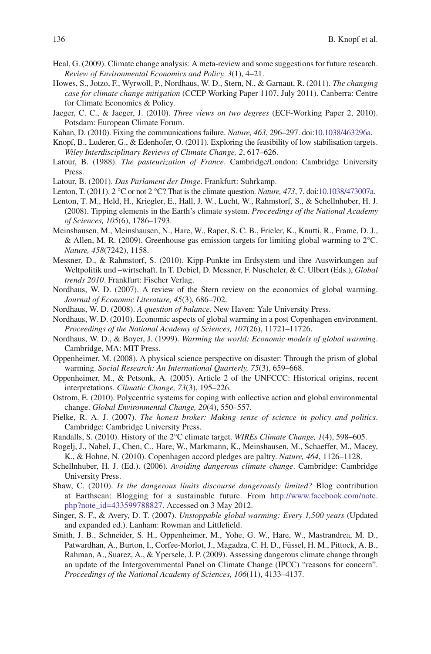- <span id="page-15-0"></span> Heal, G. (2009). Climate change analysis: A meta-review and some suggestions for future research. *Review of Environmental Economics and Policy, 3* (1), 4–21.
- Howes, S., Jotzo, F., Wyrwoll, P., Nordhaus, W. D., Stern, N., & Garnaut, R. (2011). *The changing case for climate change mitigation* (CCEP Working Paper 1107, July 2011). Canberra: Centre for Climate Economics & Policy.
- Jaeger, C. C., & Jaeger, J. (2010). *Three views on two degrees* (ECF-Working Paper 2, 2010). Potsdam: European Climate Forum.
- Kahan, D. (2010). Fixing the communications failure. *Nature, 463* , 296–297. doi:[10.1038/463296a](http://dx.doi.org/10.1038/463296a).
- Knopf, B., Luderer, G., & Edenhofer, O. (2011). Exploring the feasibility of low stabilisation targets. *Wiley Interdisciplinary Reviews of Climate Change, 2* , 617–626.
- Latour, B. (1988). *The pasteurization of France* . Cambridge/London: Cambridge University Press.
- Latour, B. (2001). *Das Parlament der Dinge* . Frankfurt: Suhrkamp.
- Lenton, T. (2011). 2 °C or not 2 °C? That is the climate question. *Nature, 473* , 7. doi[:10.1038/473007a](http://dx.doi.org/10.1038/473007a).
- Lenton, T. M., Held, H., Kriegler, E., Hall, J. W., Lucht, W., Rahmstorf, S., & Schellnhuber, H. J. (2008). Tipping elements in the Earth's climate system. *Proceedings of the National Academy of Sciences, 105* (6), 1786–1793.
- Meinshausen, M., Meinshausen, N., Hare, W., Raper, S. C. B., Frieler, K., Knutti, R., Frame, D. J., & Allen, M. R. (2009). Greenhouse gas emission targets for limiting global warming to  $2^{\circ}C$ . *Nature, 458* (7242), 1158.
- Messner, D., & Rahmstorf, S. (2010). Kipp-Punkte im Erdsystem und ihre Auswirkungen auf Weltpolitik und –wirtschaft. In T. Debiel, D. Messner, F. Nuscheler, & C. Ulbert (Eds.), *Global trends 2010* . Frankfurt: Fischer Verlag.
- Nordhaus, W. D. (2007). A review of the Stern review on the economics of global warming. *Journal of Economic Literature, 45* (3), 686–702.
- Nordhaus, W. D. (2008). *A question of balance* . New Haven: Yale University Press.
- Nordhaus, W. D. (2010). Economic aspects of global warming in a post Copenhagen environment. *Proceedings of the National Academy of Sciences, 107* (26), 11721–11726.
- Nordhaus, W. D., & Boyer, J. (1999). *Warming the world: Economic models of global warming* . Cambridge, MA: MIT Press.
- Oppenheimer, M. (2008). A physical science perspective on disaster: Through the prism of global warming. *Social Research: An International Quarterly, 75(3), 659–668.*
- Oppenheimer, M., & Petsonk, A. (2005). Article 2 of the UNFCCC: Historical origins, recent interpretations. *Climatic Change, 73* (3), 195–226.
- Ostrom, E. (2010). Polycentric systems for coping with collective action and global environmental change. *Global Environmental Change*, 20(4), 550-557.
- Pielke, R. A. J. (2007). *The honest broker: Making sense of science in policy and politics* . Cambridge: Cambridge University Press.
- Randalls, S. (2010). History of the 2°C climate target. *WIREs Climate Change, 1* (4), 598–605.
- Rogelj, J., Nabel, J., Chen, C., Hare, W., Markmann, K., Meinshausen, M., Schaeffer, M., Macey, K., & Hohne, N. (2010). Copenhagen accord pledges are paltry. *Nature, 464* , 1126–1128.
- Schellnhuber, H. J. (Ed.). (2006). *Avoiding dangerous climate change* . Cambridge: Cambridge University Press.
- Shaw, C. (2010). *Is the dangerous limits discourse dangerously limited?* Blog contribution at Earthscan: Blogging for a sustainable future. From [http://www.facebook.com/note.](http://www.facebook.com/note.php?note_id=433599788827) [php?note\\_id=433599788827.](http://www.facebook.com/note.php?note_id=433599788827) Accessed on 3 May 2012.
- Singer, S. F., & Avery, D. T. (2007). *Unstoppable global warming: Every 1,500 years* (Updated and expanded ed.). Lanham: Rowman and Littlefield.
- Smith, J. B., Schneider, S. H., Oppenheimer, M., Yohe, G. W., Hare, W., Mastrandrea, M. D., Patwardhan, A., Burton, I., Corfee-Morlot, J., Magadza, C. H. D., Füssel, H. M., Pittock, A. B., Rahman, A., Suarez, A., & Ypersele, J. P. (2009). Assessing dangerous climate change through an update of the Intergovernmental Panel on Climate Change (IPCC) "reasons for concern". *Proceedings of the National Academy of Sciences, 106* (11), 4133–4137.